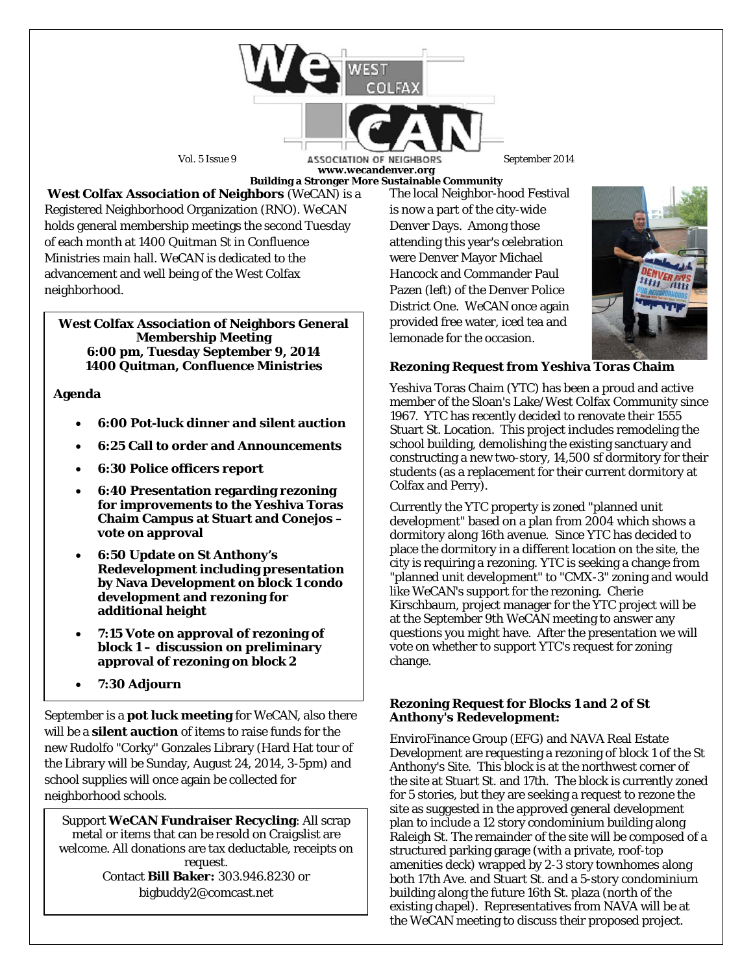

Vol. 5 Issue 9 **ASSOCIATION OF NEIGHBORS** September 2014 **www.wecandenver.org Building a Stronger More Sustainable Community**

**West Colfax Association of Neighbors** (*WeCAN*) is a Registered Neighborhood Organization (RNO). *WeCAN*  holds general membership meetings the second Tuesday of each month at 1400 Quitman St in Confluence Ministries main hall. *WeCAN* is dedicated to the advancement and well being of the West Colfax neighborhood.

#### **West Colfax Association of Neighbors General Membership Meeting 6:00 pm, Tuesday September 9, 2014 1400 Quitman, Confluence Ministries**

# **Agenda**

- **6:00 Pot-luck dinner and silent auction**
- **6:25 Call to order and Announcements**
- **6:30 Police officers report**
- **6:40 Presentation regarding rezoning for improvements to the Yeshiva Toras Chaim Campus at Stuart and Conejos – vote on approval**
- **6:50 Update on St Anthony's Redevelopment including presentation by Nava Development on block 1 condo development and rezoning for additional height**
- **7:15 Vote on approval of rezoning of block 1 – discussion on preliminary approval of rezoning on block 2**
- **7:30 Adjourn**

September is a **pot luck meeting** for *WeCAN*, also there will be a **silent auction** of items to raise funds for the new Rudolfo "Corky" Gonzales Library (Hard Hat tour of the Library will be Sunday, August 24, 2014, 3-5pm) and school supplies will once again be collected for neighborhood schools.

Support *WeCAN* **Fundraiser Recycling**: All scrap metal or items that can be resold on Craigslist are welcome. All donations are tax deductable, receipts on request. Contact **Bill Baker:** 303.946.8230 or bigbuddy2@comcast.net

The local Neighbor-hood Festival is now a part of the city-wide Denver Days. Among those attending this year's celebration were Denver Mayor Michael Hancock and Commander Paul Pazen (left) of the Denver Police District One. *WeCAN* once again provided free water, iced tea and lemonade for the occasion.



## **Rezoning Request from Yeshiva Toras Chaim**

Yeshiva Toras Chaim (YTC) has been a proud and active member of the Sloan's Lake/West Colfax Community since 1967. YTC has recently decided to renovate their 1555 Stuart St. Location. This project includes remodeling the school building, demolishing the existing sanctuary and constructing a new two-story, 14,500 sf dormitory for their students (as a replacement for their current dormitory at Colfax and Perry).

Currently the YTC property is zoned "planned unit development" based on a plan from 2004 which shows a dormitory along 16th avenue. Since YTC has decided to place the dormitory in a different location on the site, the city is requiring a rezoning. YTC is seeking a change from "planned unit development" to "CMX-3" zoning and would like *WeCAN*'s support for the rezoning. Cherie Kirschbaum, project manager for the YTC project will be at the September 9th *WeCAN* meeting to answer any questions you might have. After the presentation we will vote on whether to support YTC's request for zoning change.

## **Rezoning Request for Blocks 1 and 2 of St Anthony's Redevelopment:**

EnviroFinance Group (EFG) and NAVA Real Estate Development are requesting a rezoning of block 1 of the St Anthony's Site. This block is at the northwest corner of the site at Stuart St. and 17th. The block is currently zoned for 5 stories, but they are seeking a request to rezone the site as suggested in the approved general development plan to include a 12 story condominium building along Raleigh St. The remainder of the site will be composed of a structured parking garage (with a private, roof-top amenities deck) wrapped by 2-3 story townhomes along both 17th Ave. and Stuart St. and a 5-story condominium building along the future 16th St. plaza (north of the existing chapel). Representatives from NAVA will be at the *WeCAN* meeting to discuss their proposed project.